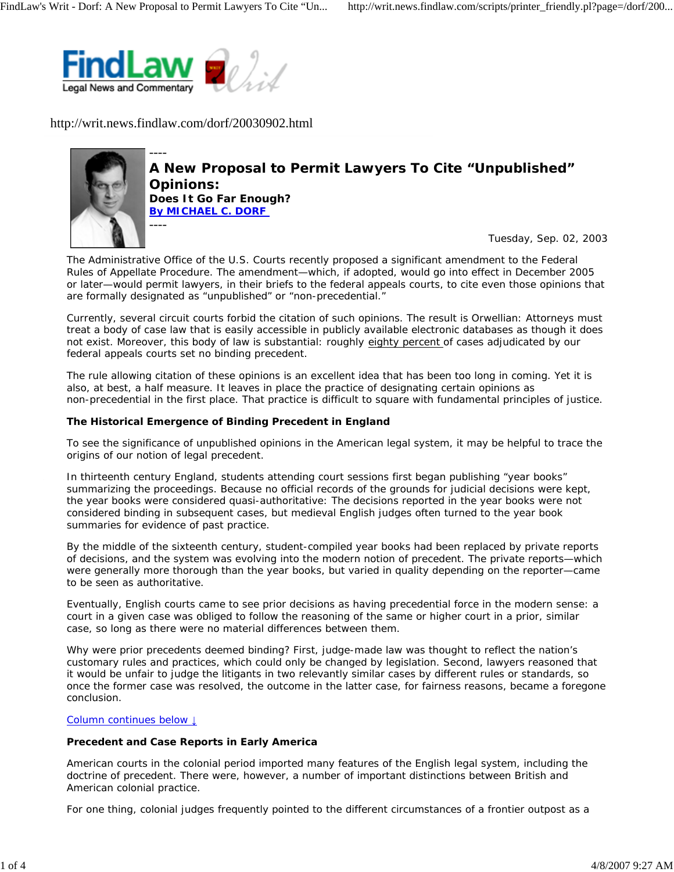

http://writ.news.findlaw.com/dorf/20030902.html



**A New Proposal to Permit Lawyers To Cite "Unpublished" Opinions: Does It Go Far Enough? By MICHAEL C. DORF**  ----

Tuesday, Sep. 02, 2003

The Administrative Office of the U.S. Courts recently proposed a significant amendment to the Federal Rules of Appellate Procedure. The amendment—which, if adopted, would go into effect in December 2005 or later—would permit lawyers, in their briefs to the federal appeals courts, to cite even those opinions that are formally designated as "unpublished" or "non-precedential."

Currently, several circuit courts forbid the citation of such opinions. The result is Orwellian: Attorneys must treat a body of case law that is easily accessible in publicly available electronic databases as though it does not exist. Moreover, this body of law is substantial: roughly eighty percent of cases adjudicated by our federal appeals courts set no binding precedent.

The rule allowing citation of these opinions is an excellent idea that has been too long in coming. Yet it is also, at best, a half measure. It leaves in place the practice of designating certain opinions as non-precedential in the first place. That practice is difficult to square with fundamental principles of justice.

# **The Historical Emergence of Binding Precedent in England**

To see the significance of unpublished opinions in the American legal system, it may be helpful to trace the origins of our notion of legal precedent.

In thirteenth century England, students attending court sessions first began publishing "year books" summarizing the proceedings. Because no official records of the grounds for judicial decisions were kept, the year books were considered quasi-authoritative: The decisions reported in the year books were not considered binding in subsequent cases, but medieval English judges often turned to the year book summaries for evidence of past practice.

By the middle of the sixteenth century, student-compiled year books had been replaced by private reports of decisions, and the system was evolving into the modern notion of precedent. The private reports—which were generally more thorough than the year books, but varied in quality depending on the reporter—came to be seen as authoritative.

Eventually, English courts came to see prior decisions as having precedential force in the modern sense: a court in a given case was obliged to follow the reasoning of the same or higher court in a prior, similar case, so long as there were no material differences between them.

Why were prior precedents deemed binding? First, judge-made law was thought to reflect the nation's customary rules and practices, which could only be changed by legislation. Second, lawyers reasoned that it would be unfair to judge the litigants in two relevantly similar cases by different rules or standards, so once the former case was resolved, the outcome in the latter case, for fairness reasons, became a foregone conclusion.

# Column continues below ↓

# **Precedent and Case Reports in Early America**

American courts in the colonial period imported many features of the English legal system, including the doctrine of precedent. There were, however, a number of important distinctions between British and American colonial practice.

For one thing, colonial judges frequently pointed to the different circumstances of a frontier outpost as a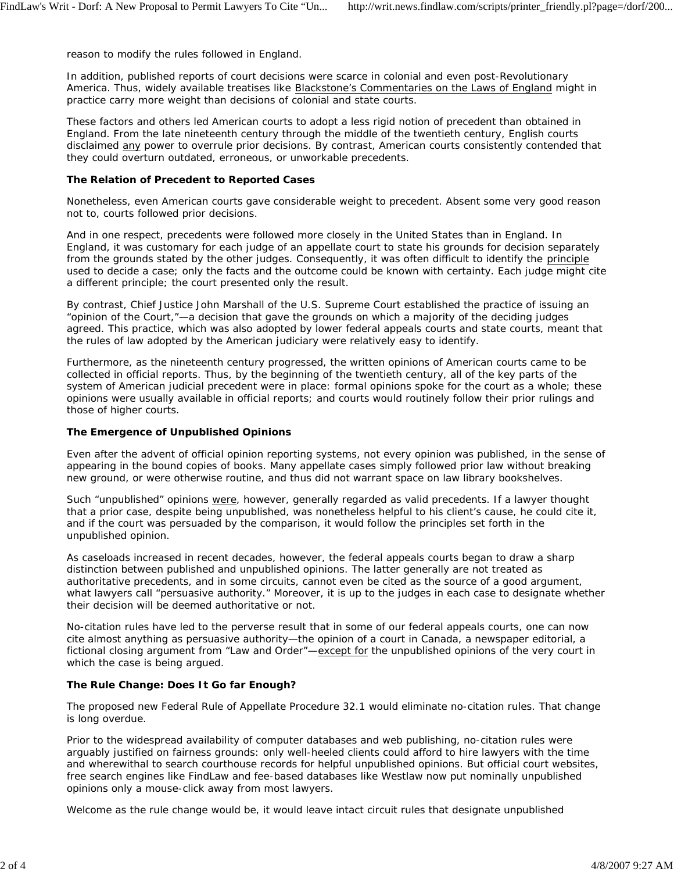reason to modify the rules followed in England.

In addition, published reports of court decisions were scarce in colonial and even post-Revolutionary America. Thus, widely available treatises like Blackstone's Commentaries on the Laws of England might in practice carry more weight than decisions of colonial and state courts.

These factors and others led American courts to adopt a less rigid notion of precedent than obtained in England. From the late nineteenth century through the middle of the twentieth century, English courts disclaimed any power to overrule prior decisions. By contrast, American courts consistently contended that they could overturn outdated, erroneous, or unworkable precedents.

#### **The Relation of Precedent to Reported Cases**

Nonetheless, even American courts gave considerable weight to precedent. Absent some very good reason not to, courts followed prior decisions.

And in one respect, precedents were followed more closely in the United States than in England. In England, it was customary for each judge of an appellate court to state his grounds for decision separately from the grounds stated by the other judges. Consequently, it was often difficult to identify the principle used to decide a case; only the facts and the outcome could be known with certainty. Each judge might cite a different principle; the court presented only the result.

By contrast, Chief Justice John Marshall of the U.S. Supreme Court established the practice of issuing an "opinion of the Court,"—a decision that gave the grounds on which a majority of the deciding judges agreed. This practice, which was also adopted by lower federal appeals courts and state courts, meant that the rules of law adopted by the American judiciary were relatively easy to identify.

Furthermore, as the nineteenth century progressed, the written opinions of American courts came to be collected in official reports. Thus, by the beginning of the twentieth century, all of the key parts of the system of American judicial precedent were in place: formal opinions spoke for the court as a whole; these opinions were usually available in official reports; and courts would routinely follow their prior rulings and those of higher courts.

# **The Emergence of Unpublished Opinions**

Even after the advent of official opinion reporting systems, not every opinion was published, in the sense of appearing in the bound copies of books. Many appellate cases simply followed prior law without breaking new ground, or were otherwise routine, and thus did not warrant space on law library bookshelves.

Such "unpublished" opinions were, however, generally regarded as valid precedents. If a lawyer thought that a prior case, despite being unpublished, was nonetheless helpful to his client's cause, he could cite it, and if the court was persuaded by the comparison, it would follow the principles set forth in the unpublished opinion.

As caseloads increased in recent decades, however, the federal appeals courts began to draw a sharp distinction between published and unpublished opinions. The latter generally are not treated as authoritative precedents, and in some circuits, cannot even be cited as the source of a good argument, what lawyers call "persuasive authority." Moreover, it is up to the judges in each case to designate whether their decision will be deemed authoritative or not.

No-citation rules have led to the perverse result that in some of our federal appeals courts, one can now cite almost anything as persuasive authority—the opinion of a court in Canada, a newspaper editorial, a fictional closing argument from "Law and Order"—except for the unpublished opinions of the very court in which the case is being argued.

# **The Rule Change: Does It Go far Enough?**

The proposed new Federal Rule of Appellate Procedure 32.1 would eliminate no-citation rules. That change is long overdue.

Prior to the widespread availability of computer databases and web publishing, no-citation rules were arguably justified on fairness grounds: only well-heeled clients could afford to hire lawyers with the time and wherewithal to search courthouse records for helpful unpublished opinions. But official court websites, free search engines like FindLaw and fee-based databases like Westlaw now put nominally unpublished opinions only a mouse-click away from most lawyers.

Welcome as the rule change would be, it would leave intact circuit rules that designate unpublished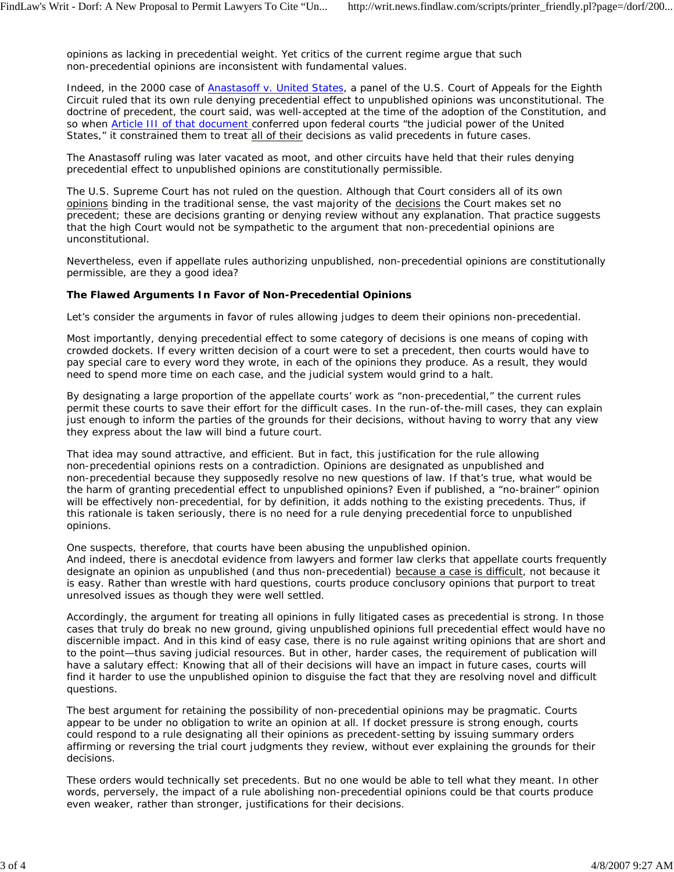opinions as lacking in precedential weight. Yet critics of the current regime argue that such non-precedential opinions are inconsistent with fundamental values.

Indeed, in the 2000 case of *Anastasoff v. United States*, a panel of the U.S. Court of Appeals for the Eighth Circuit ruled that its own rule denying precedential effect to unpublished opinions was unconstitutional. The doctrine of precedent, the court said, was well-accepted at the time of the adoption of the Constitution, and so when Article III of that document conferred upon federal courts "the judicial power of the United States," it constrained them to treat all of their decisions as valid precedents in future cases.

The *Anastasoff* ruling was later vacated as moot, and other circuits have held that their rules denying precedential effect to unpublished opinions are constitutionally permissible.

The U.S. Supreme Court has not ruled on the question. Although that Court considers all of its own opinions binding in the traditional sense, the vast majority of the decisions the Court makes set no precedent; these are decisions granting or denying review without any explanation. That practice suggests that the high Court would not be sympathetic to the argument that non-precedential opinions are unconstitutional.

Nevertheless, even if appellate rules authorizing unpublished, non-precedential opinions are constitutionally permissible, are they a good idea?

# **The Flawed Arguments In Favor of Non-Precedential Opinions**

Let's consider the arguments in favor of rules allowing judges to deem their opinions non-precedential.

Most importantly, denying precedential effect to some category of decisions is one means of coping with crowded dockets. If every written decision of a court were to set a precedent, then courts would have to pay special care to every word they wrote, in each of the opinions they produce. As a result, they would need to spend more time on each case, and the judicial system would grind to a halt.

By designating a large proportion of the appellate courts' work as "non-precedential," the current rules permit these courts to save their effort for the difficult cases. In the run-of-the-mill cases, they can explain just enough to inform the parties of the grounds for their decisions, without having to worry that any view they express about the law will bind a future court.

That idea may sound attractive, and efficient. But in fact, this justification for the rule allowing non-precedential opinions rests on a contradiction. Opinions are designated as unpublished and non-precedential because they supposedly resolve no new questions of law. If that's true, what would be the harm of granting precedential effect to unpublished opinions? Even if published, a "no-brainer" opinion will be effectively non-precedential, for by definition, it adds nothing to the existing precedents. Thus, if this rationale is taken seriously, there is no need for a rule denying precedential force to unpublished opinions.

One suspects, therefore, that courts have been abusing the unpublished opinion.

And indeed, there is anecdotal evidence from lawyers and former law clerks that appellate courts frequently designate an opinion as unpublished (and thus non-precedential) because a case is difficult, not because it is easy. Rather than wrestle with hard questions, courts produce conclusory opinions that purport to treat unresolved issues as though they were well settled.

Accordingly, the argument for treating all opinions in fully litigated cases as precedential is strong. In those cases that truly do break no new ground, giving unpublished opinions full precedential effect would have no discernible impact. And in this kind of easy case, there is no rule against writing opinions that are short and to the point—thus saving judicial resources. But in other, harder cases, the requirement of publication will have a salutary effect: Knowing that all of their decisions will have an impact in future cases, courts will find it harder to use the unpublished opinion to disguise the fact that they are resolving novel and difficult questions.

The best argument for retaining the possibility of non-precedential opinions may be pragmatic. Courts appear to be under no obligation to write an opinion at all. If docket pressure is strong enough, courts could respond to a rule designating all their opinions as precedent-setting by issuing summary orders affirming or reversing the trial court judgments they review, without ever explaining the grounds for their decisions.

These orders would technically set precedents. But no one would be able to tell what they meant. In other words, perversely, the impact of a rule abolishing non-precedential opinions could be that courts produce even weaker, rather than stronger, justifications for their decisions.